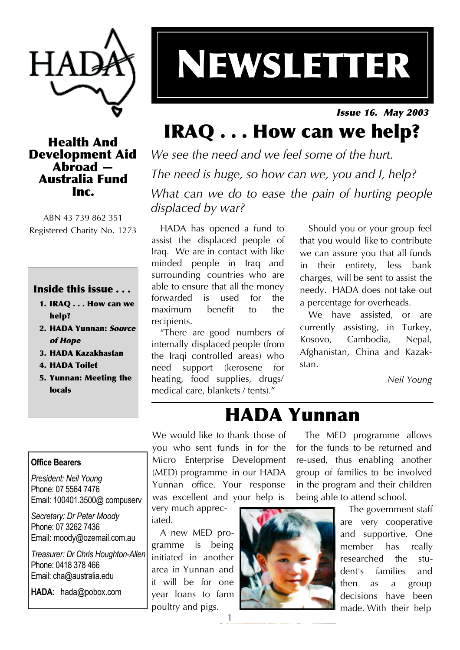

# NEWSLETTER

Issue 16. May 2003

#### Health And Development Aid Abroad — Australia Fund Inc.

ABN 43 739 862 351 Registered Charity No. 1273

#### Inside this issue . . .

- 1. IRAQ . . . How can we help?
- 2. HADA Yunnan: Source of Hope
- 3. HADA Kazakhastan
- 4. HADA Toilet
- 5. Yunnan: Meeting the locals

## IRAQ . . . How can we help?

*We see the need and we feel some of the hurt. The need is huge, so how can we, you and I, help? What can we do to ease the pain of hurting people displaced by war?*

HADA has opened a fund to assist the displaced people of Iraq. We are in contact with like minded people in Iraq and surrounding countries who are able to ensure that all the money forwarded is used for the maximum benefit to the recipients.

"There are good numbers of internally displaced people (from the Iraqi controlled areas) who need support (kerosene for heating, food supplies, drugs/ medical care, blankets / tents)."

Should you or your group feel that you would like to contribute we can assure you that all funds in their entirety, less bank charges, will be sent to assist the needy. HADA does not take out a percentage for overheads.

We have assisted, or are currently assisting, in Turkey, Kosovo, Cambodia, Nepal, Afghanistan, China and Kazakstan.

*Neil Young*

#### **Office Bearers**

*President: Neil Young* Phone: 07 5564 7476 Email: 100401.3500@ compuserv

*Secretary: Dr Peter Moody* Phone: 07 3262 7436 Email: moody@ozemail.com.au

*Treasurer: Dr Chris Houghton-Allen* Phone: 0418 378 466 Email: cha@australia.edu

**HADA**: hada@pobox.com

HADA Yunnan

We would like to thank those of you who sent funds in for the Micro Enterprise Development (MED) programme in our HADA Yunnan office. Your response was excellent and your help is

very much appreciated.

A new MED programme is being initiated in another area in Yunnan and it will be for one year loans to farm poultry and pigs.



The MED programme allows for the funds to be returned and re-used, thus enabling another group of families to be involved in the program and their children being able to attend school.

> The government staff are very cooperative and supportive. One member has really researched the student's families and then as a group decisions have been made. With their help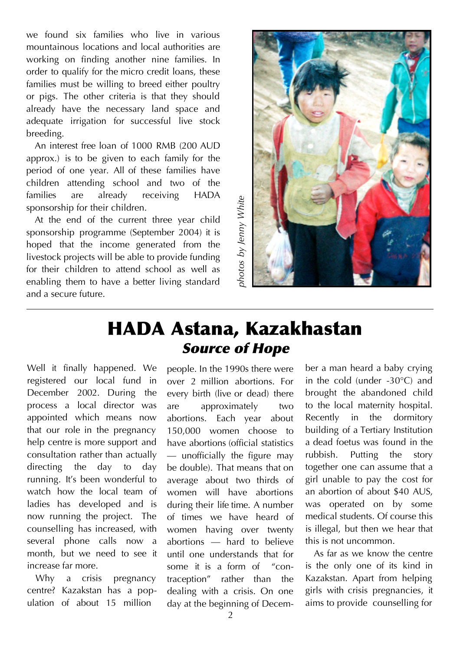we found six families who live in various mountainous locations and local authorities are working on finding another nine families. In order to qualify for the micro credit loans, these families must be willing to breed either poultry or pigs. The other criteria is that they should already have the necessary land space and adequate irrigation for successful live stock breeding.

An interest free loan of 1000 RMB (200 AUD approx.) is to be given to each family for the period of one year. All of these families have children attending school and two of the families are already receiving HADA sponsorship for their children.

At the end of the current three year child sponsorship programme (September 2004) it is hoped that the income generated from the livestock projects will be able to provide funding for their children to attend school as well as enabling them to have a better living standard and a secure future.



## HADA Astana, Kazakhastan Source of Hope

Well it finally happened. We registered our local fund in December 2002. During the process a local director was appointed which means now that our role in the pregnancy help centre is more support and consultation rather than actually directing the day to day running. It's been wonderful to watch how the local team of ladies has developed and is now running the project. The counselling has increased, with several phone calls now a month, but we need to see it increase far more.

Why a crisis pregnancy centre? Kazakstan has a population of about 15 million

people. In the 1990s there were over 2 million abortions. For every birth (live or dead) there are approximately two abortions. Each year about 150,000 women choose to have abortions (official statistics — unofficially the figure may be double). That means that on average about two thirds of women will have abortions during their life time. A number of times we have heard of women having over twenty abortions — hard to believe until one understands that for some it is a form of "contraception" rather than the dealing with a crisis. On one day at the beginning of December a man heard a baby crying in the cold (under -30°C) and brought the abandoned child to the local maternity hospital. Recently in the dormitory building of a Tertiary Institution a dead foetus was found in the rubbish. Putting the story together one can assume that a girl unable to pay the cost for an abortion of about \$40 AUS, was operated on by some medical students. Of course this is illegal, but then we hear that this is not uncommon.

As far as we know the centre is the only one of its kind in Kazakstan. Apart from helping girls with crisis pregnancies, it aims to provide counselling for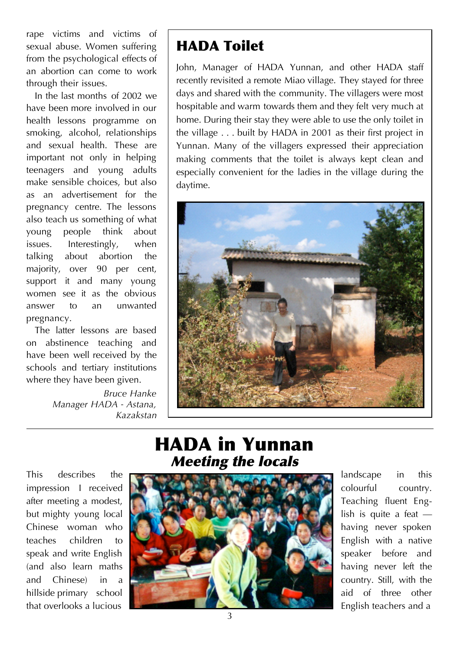rape victims and victims of sexual abuse. Women suffering from the psychological effects of an abortion can come to work through their issues.

In the last months of 2002 we have been more involved in our health lessons programme on smoking, alcohol, relationships and sexual health. These are important not only in helping teenagers and young adults make sensible choices, but also as an advertisement for the pregnancy centre. The lessons also teach us something of what young people think about issues. Interestingly, when talking about abortion the majority, over 90 per cent, support it and many young women see it as the obvious answer to an unwanted pregnancy.

The latter lessons are based on abstinence teaching and have been well received by the schools and tertiary institutions where they have been given.

> *Bruce Hanke Manager HADA - Astana, Kazakstan*

## HADA Toilet

John, Manager of HADA Yunnan, and other HADA staff recently revisited a remote Miao village. They stayed for three days and shared with the community. The villagers were most hospitable and warm towards them and they felt very much at home. During their stay they were able to use the only toilet in the village . . . built by HADA in 2001 as their first project in Yunnan. Many of the villagers expressed their appreciation making comments that the toilet is always kept clean and especially convenient for the ladies in the village during the daytime.



## HADA in Yunnan Meeting the locals

This describes the impression I received after meeting a modest, but mighty young local Chinese woman who teaches children to speak and write English (and also learn maths and Chinese) in a hillside primary school that overlooks a lucious



landscape in this colourful country. Teaching fluent English is quite a feat having never spoken English with a native speaker before and having never left the country. Still, with the aid of three other English teachers and a